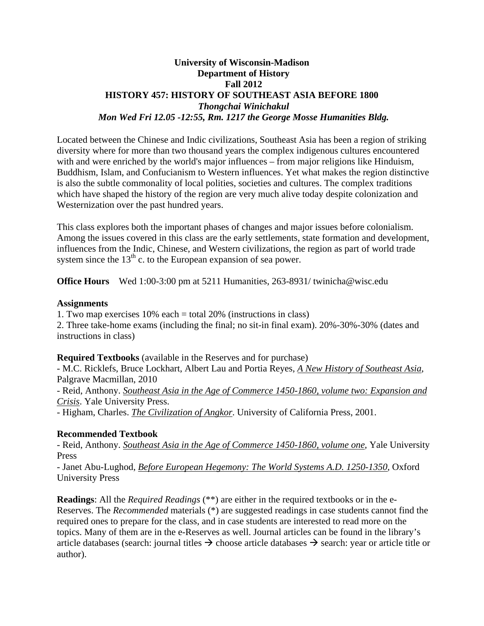### **University of Wisconsin-Madison Department of History Fall 2012 HISTORY 457: HISTORY OF SOUTHEAST ASIA BEFORE 1800**  *Thongchai Winichakul Mon Wed Fri 12.05 -12:55, Rm. 1217 the George Mosse Humanities Bldg.*

Located between the Chinese and Indic civilizations, Southeast Asia has been a region of striking diversity where for more than two thousand years the complex indigenous cultures encountered with and were enriched by the world's major influences – from major religions like Hinduism, Buddhism, Islam, and Confucianism to Western influences. Yet what makes the region distinctive is also the subtle commonality of local polities, societies and cultures. The complex traditions which have shaped the history of the region are very much alive today despite colonization and Westernization over the past hundred years.

This class explores both the important phases of changes and major issues before colonialism. Among the issues covered in this class are the early settlements, state formation and development, influences from the Indic, Chinese, and Western civilizations, the region as part of world trade system since the  $13<sup>th</sup>$  c. to the European expansion of sea power.

**Office Hours** Wed 1:00-3:00 pm at 5211 Humanities, 263-8931/ twinicha@wisc.edu

#### **Assignments**

1. Two map exercises 10% each = total 20% (instructions in class) 2. Three take-home exams (including the final; no sit-in final exam). 20%-30%-30% (dates and instructions in class)

**Required Textbooks** (available in the Reserves and for purchase)

- M.C. Ricklefs, Bruce Lockhart, Albert Lau and Portia Reyes, *A New History of Southeast Asia*, Palgrave Macmillan, 2010

- Reid, Anthony. *Southeast Asia in the Age of Commerce 1450-1860, volume two: Expansion and Crisis*. Yale University Press.

- Higham, Charles. *The Civilization of Angkor*. University of California Press, 2001.

### **Recommended Textbook**

- Reid, Anthony. *Southeast Asia in the Age of Commerce 1450-1860, volume one*, Yale University Press

- Janet Abu-Lughod, *Before European Hegemony: The World Systems A.D. 1250-1350*, Oxford University Press

**Readings**: All the *Required Readings* (\*\*) are either in the required textbooks or in the e-Reserves. The *Recommended* materials (\*) are suggested readings in case students cannot find the required ones to prepare for the class, and in case students are interested to read more on the topics. Many of them are in the e-Reserves as well. Journal articles can be found in the library's article databases (search: journal titles  $\rightarrow$  choose article databases  $\rightarrow$  search: year or article title or author).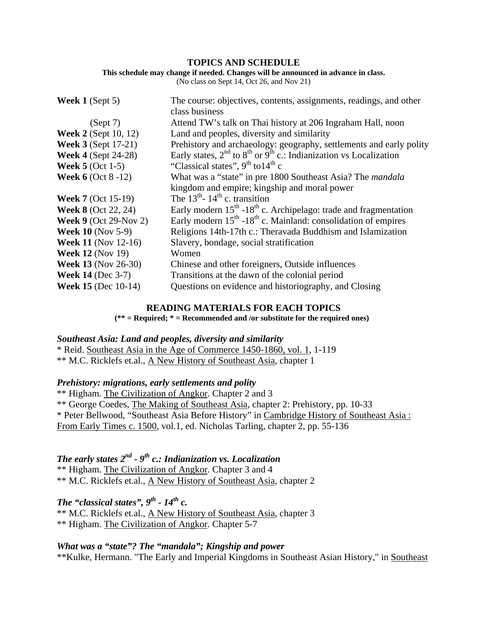#### **TOPICS AND SCHEDULE**

#### **This schedule may change if needed. Changes will be announced in advance in class.**

(No class on Sept 14, Oct 26, and Nov 21)

| Week $1$ (Sept 5)             | The course: objectives, contents, assignments, readings, and other               |
|-------------------------------|----------------------------------------------------------------------------------|
|                               | class business                                                                   |
| (Sept 7)                      | Attend TW's talk on Thai history at 206 Ingraham Hall, noon                      |
| <b>Week 2</b> (Sept 10, 12)   | Land and peoples, diversity and similarity                                       |
| <b>Week 3 (Sept 17-21)</b>    | Prehistory and archaeology: geography, settlements and early polity              |
| <b>Week 4 (Sept 24-28)</b>    | Early states, $2^{nd}$ to $8^{th}$ or $9^{th}$ c.: Indianization vs Localization |
| Week $5$ (Oct 1-5)            | "Classical states", $9th$ to $14th$ c                                            |
| <b>Week 6</b> (Oct $8 - 12$ ) | What was a "state" in pre 1800 Southeast Asia? The <i>mandala</i>                |
|                               | kingdom and empire; kingship and moral power                                     |
| <b>Week 7</b> (Oct 15-19)     | The $13^{\text{th}}$ - $14^{\text{th}}$ c. transition                            |
| <b>Week 8 (Oct 22, 24)</b>    | Early modern $15^{th}$ -18 <sup>th</sup> c. Archipelago: trade and fragmentation |
| <b>Week 9 (Oct 29-Nov 2)</b>  | Early modern $15th - 18th$ c. Mainland: consolidation of empires                 |
| <b>Week 10 (Nov 5-9)</b>      | Religions 14th-17th c.: Theravada Buddhism and Islamization                      |
| <b>Week 11 (Nov 12-16)</b>    | Slavery, bondage, social stratification                                          |
| <b>Week 12 (Nov 19)</b>       | Women                                                                            |
| <b>Week 13 (Nov 26-30)</b>    | Chinese and other foreigners, Outside influences                                 |
| <b>Week 14 (Dec 3-7)</b>      | Transitions at the dawn of the colonial period                                   |
| <b>Week 15 (Dec 10-14)</b>    | Questions on evidence and historiography, and Closing                            |

#### **READING MATERIALS FOR EACH TOPICS**

**(\*\* = Required; \* = Recommended and /or substitute for the required ones)** 

#### *Southeast Asia: Land and peoples, diversity and similarity*

\* Reid. Southeast Asia in the Age of Commerce 1450-1860, vol. 1, 1-119 \*\* M.C. Ricklefs et.al., A New History of Southeast Asia, chapter 1

#### *Prehistory: migrations, early settlements and polity*

\*\* Higham. The Civilization of Angkor. Chapter 2 and 3 \*\* George Coedes, The Making of Southeast Asia, chapter 2: Prehistory, pp. 10-33 \* Peter Bellwood, "Southeast Asia Before History" in Cambridge History of Southeast Asia : From Early Times c. 1500, vol.1, ed. Nicholas Tarling, chapter 2, pp. 55-136

# *The early states 2nd - 9th c.: Indianization vs. Localization*

\*\* Higham. The Civilization of Angkor. Chapter 3 and 4 \*\* M.C. Ricklefs et.al., A New History of Southeast Asia, chapter 2

# *The "classical states",*  $9^{th}$  -  $14^{th}$  c.

\*\* M.C. Ricklefs et.al., A New History of Southeast Asia, chapter 3 \*\* Higham. The Civilization of Angkor. Chapter 5-7

#### *What was a "state"? The "mandala"; Kingship and power*

\*\*Kulke, Hermann. "The Early and Imperial Kingdoms in Southeast Asian History," in Southeast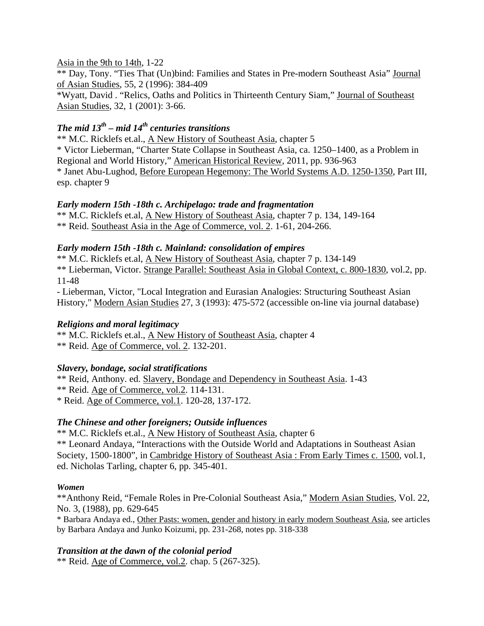### Asia in the 9th to 14th, 1-22

\*\* Day, Tony. "Ties That (Un)bind: Families and States in Pre-modern Southeast Asia" Journal of Asian Studies, 55, 2 (1996): 384-409

\*Wyatt, David . "Relics, Oaths and Politics in Thirteenth Century Siam," Journal of Southeast Asian Studies, 32, 1 (2001): 3-66.

# *The mid 13th – mid 14th centuries transitions*

\*\* M.C. Ricklefs et.al., A New History of Southeast Asia, chapter 5 \* Victor Lieberman, "Charter State Collapse in Southeast Asia, ca. 1250–1400, as a Problem in Regional and World History," American Historical Review, 2011, pp. 936-963 \* Janet Abu-Lughod, Before European Hegemony: The World Systems A.D. 1250-1350, Part III, esp. chapter 9

### *Early modern 15th -18th c. Archipelago: trade and fragmentation*

\*\* M.C. Ricklefs et.al, A New History of Southeast Asia, chapter 7 p. 134, 149-164 \*\* Reid. Southeast Asia in the Age of Commerce, vol. 2. 1-61, 204-266.

### *Early modern 15th -18th c. Mainland: consolidation of empires*

\*\* M.C. Ricklefs et.al, A New History of Southeast Asia, chapter 7 p. 134-149 \*\* Lieberman, Victor. Strange Parallel: Southeast Asia in Global Context, c. 800-1830, vol.2, pp. 11-48

- Lieberman, Victor, "Local Integration and Eurasian Analogies: Structuring Southeast Asian History," Modern Asian Studies 27, 3 (1993): 475-572 (accessible on-line via journal database)

## *Religions and moral legitimacy*

\*\* M.C. Ricklefs et.al., A New History of Southeast Asia, chapter 4 \*\* Reid. Age of Commerce, vol. 2. 132-201.

## *Slavery, bondage, social stratifications*

\*\* Reid, Anthony. ed. Slavery, Bondage and Dependency in Southeast Asia. 1-43

\*\* Reid. Age of Commerce, vol.2. 114-131.

\* Reid. Age of Commerce, vol.1. 120-28, 137-172.

## *The Chinese and other foreigners; Outside influences*

\*\* M.C. Ricklefs et.al., A New History of Southeast Asia, chapter 6 \*\* Leonard Andaya, "Interactions with the Outside World and Adaptations in Southeast Asian Society, 1500-1800", in Cambridge History of Southeast Asia : From Early Times c. 1500, vol.1, ed. Nicholas Tarling, chapter 6, pp. 345-401.

### *Women*

\*\*Anthony Reid, "Female Roles in Pre-Colonial Southeast Asia," Modern Asian Studies, Vol. 22, No. 3, (1988), pp. 629-645

\* Barbara Andaya ed., Other Pasts: women, gender and history in early modern Southeast Asia, see articles by Barbara Andaya and Junko Koizumi, pp. 231-268, notes pp. 318-338

### *Transition at the dawn of the colonial period*

\*\* Reid. Age of Commerce, vol.2. chap. 5 (267-325).